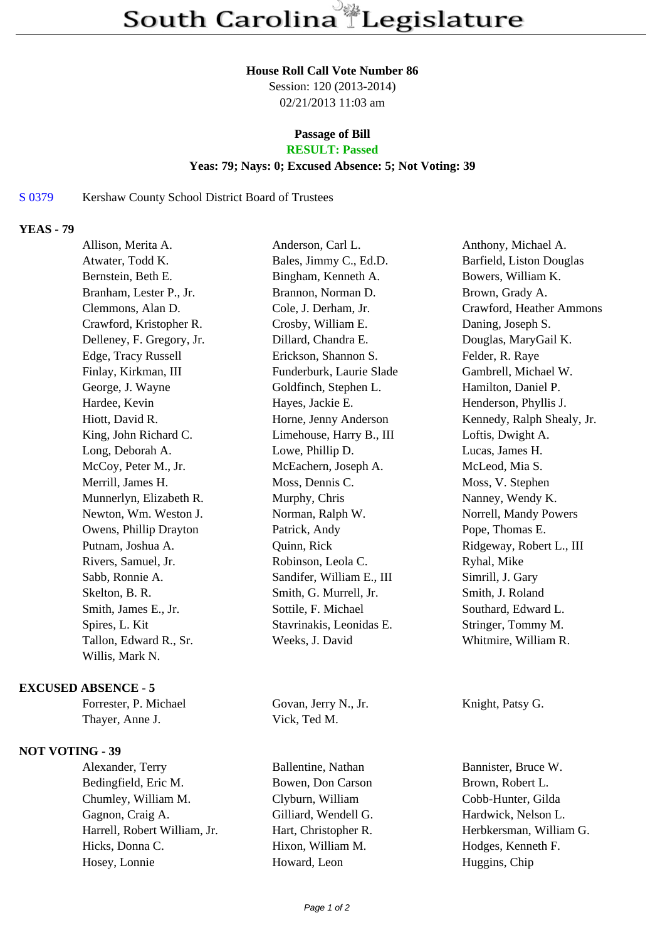#### **House Roll Call Vote Number 86**

Session: 120 (2013-2014) 02/21/2013 11:03 am

# **Passage of Bill**

# **RESULT: Passed**

### **Yeas: 79; Nays: 0; Excused Absence: 5; Not Voting: 39**

#### S 0379 Kershaw County School District Board of Trustees

### **YEAS - 79**

| Allison, Merita A.        | Anderson, Carl L.         | Anthony, Michael A.        |
|---------------------------|---------------------------|----------------------------|
| Atwater, Todd K.          | Bales, Jimmy C., Ed.D.    | Barfield, Liston Douglas   |
| Bernstein, Beth E.        | Bingham, Kenneth A.       | Bowers, William K.         |
| Branham, Lester P., Jr.   | Brannon, Norman D.        | Brown, Grady A.            |
| Clemmons, Alan D.         | Cole, J. Derham, Jr.      | Crawford, Heather Ammons   |
| Crawford, Kristopher R.   | Crosby, William E.        | Daning, Joseph S.          |
| Delleney, F. Gregory, Jr. | Dillard, Chandra E.       | Douglas, MaryGail K.       |
| Edge, Tracy Russell       | Erickson, Shannon S.      | Felder, R. Raye            |
| Finlay, Kirkman, III      | Funderburk, Laurie Slade  | Gambrell, Michael W.       |
| George, J. Wayne          | Goldfinch, Stephen L.     | Hamilton, Daniel P.        |
| Hardee, Kevin             | Hayes, Jackie E.          | Henderson, Phyllis J.      |
| Hiott, David R.           | Horne, Jenny Anderson     | Kennedy, Ralph Shealy, Jr. |
| King, John Richard C.     | Limehouse, Harry B., III  | Loftis, Dwight A.          |
| Long, Deborah A.          | Lowe, Phillip D.          | Lucas, James H.            |
| McCoy, Peter M., Jr.      | McEachern, Joseph A.      | McLeod, Mia S.             |
| Merrill, James H.         | Moss, Dennis C.           | Moss, V. Stephen           |
| Munnerlyn, Elizabeth R.   | Murphy, Chris             | Nanney, Wendy K.           |
| Newton, Wm. Weston J.     | Norman, Ralph W.          | Norrell, Mandy Powers      |
| Owens, Phillip Drayton    | Patrick, Andy             | Pope, Thomas E.            |
| Putnam, Joshua A.         | Quinn, Rick               | Ridgeway, Robert L., III   |
| Rivers, Samuel, Jr.       | Robinson, Leola C.        | Ryhal, Mike                |
| Sabb, Ronnie A.           | Sandifer, William E., III | Simrill, J. Gary           |
| Skelton, B. R.            | Smith, G. Murrell, Jr.    | Smith, J. Roland           |
| Smith, James E., Jr.      | Sottile, F. Michael       | Southard, Edward L.        |
| Spires, L. Kit            | Stavrinakis, Leonidas E.  | Stringer, Tommy M.         |
| Tallon, Edward R., Sr.    | Weeks, J. David           | Whitmire, William R.       |
| Willis, Mark N.           |                           |                            |
|                           |                           |                            |

## **EXCUSED ABSENCE - 5**

| Forrester, P. Michae |
|----------------------|
| Thayer, Anne J.      |

#### **NOT VOTING - 39**

Bedingfield, Eric M. Bowen, Don Carson Brown, Robert L. Chumley, William M. Clyburn, William Cobb-Hunter, Gilda Gagnon, Craig A. Gilliard, Wendell G. Hardwick, Nelson L. Harrell, Robert William, Jr. Hart, Christopher R. Herbkersman, William G. Hicks, Donna C. **Hixon, William M.** Hodges, Kenneth F. Hosey, Lonnie Howard, Leon Huggins, Chip

el Govan, Jerry N., Jr. Knight, Patsy G. Vick, Ted M.

Alexander, Terry Ballentine, Nathan Bannister, Bruce W.